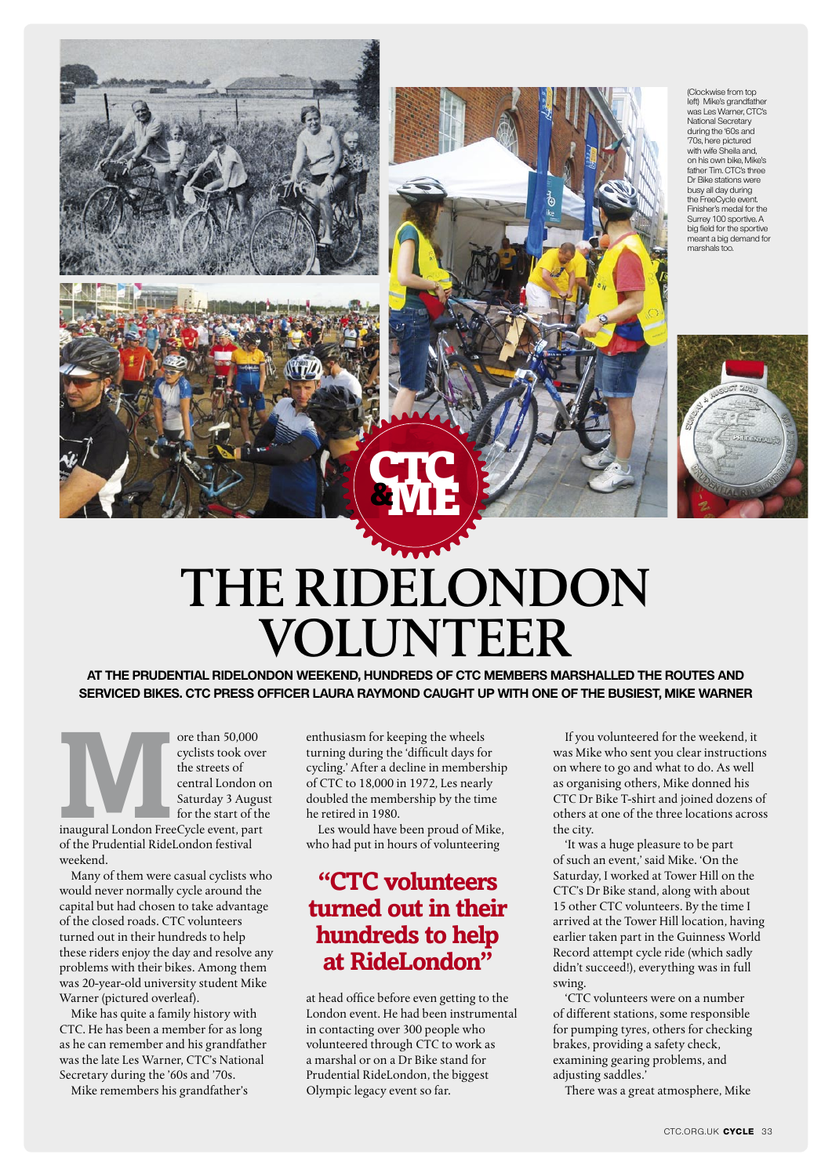





## THE RIDELONDON **VOLUNTEER**

CTC &ME

**At the Prudential RideLondon weekend, hundreds of CTC members marshalled the routes and serviced bikes. CTC Press Officer Laura Raymond caught up with one of the busiest, Mike Warner**

ore than 50,000 cyclists took over<br>the streets of central London of Saturday 3 Augustor the start of the start of the start of the start of the start of the start of the start of the start of the start of the start of the cyclists took over the streets of central London on Saturday 3 August for the start of the

of the Prudential RideLondon festival weekend.

Many of them were casual cyclists who would never normally cycle around the capital but had chosen to take advantage of the closed roads. CTC volunteers turned out in their hundreds to help these riders enjoy the day and resolve any problems with their bikes. Among them was 20-year-old university student Mike Warner (pictured overleaf).

Mike has quite a family history with CTC. He has been a member for as long as he can remember and his grandfather was the late Les Warner, CTC's National Secretary during the '60s and '70s.

Mike remembers his grandfather's

enthusiasm for keeping the wheels turning during the 'difficult days for cycling.' After a decline in membership of CTC to 18,000 in 1972, Les nearly doubled the membership by the time he retired in 1980.

Les would have been proud of Mike, who had put in hours of volunteering

## **"CTC volunteers turned out in their hundreds to help at RideLondon"**

at head office before even getting to the London event. He had been instrumental in contacting over 300 people who volunteered through CTC to work as a marshal or on a Dr Bike stand for Prudential RideLondon, the biggest Olympic legacy event so far.

If you volunteered for the weekend, it was Mike who sent you clear instructions on where to go and what to do. As well as organising others, Mike donned his CTC Dr Bike T-shirt and joined dozens of others at one of the three locations across the city.

'It was a huge pleasure to be part of such an event,' said Mike. 'On the Saturday, I worked at Tower Hill on the CTC's Dr Bike stand, along with about 15 other CTC volunteers. By the time I arrived at the Tower Hill location, having earlier taken part in the Guinness World Record attempt cycle ride (which sadly didn't succeed!), everything was in full swing.

'CTC volunteers were on a number of different stations, some responsible for pumping tyres, others for checking brakes, providing a safety check, examining gearing problems, and adjusting saddles.'

There was a great atmosphere, Mike